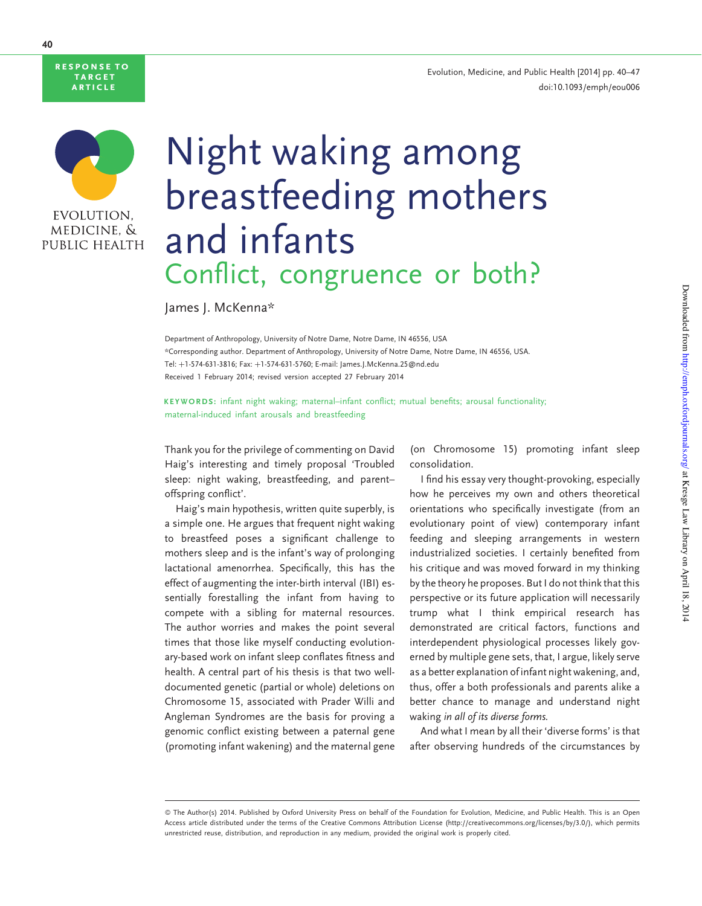## Evolution, Medicine, and Public Health [2014] pp. 40–47 doi:10.1093/emph/eou006



response to **TARGET** article

## Night waking among breastfeeding mothers and infants Conflict, congruence or both?

James J. McKenna\*

Department of Anthropology, University of Notre Dame, Notre Dame, IN 46556, USA \*Corresponding author. Department of Anthropology, University of Notre Dame, Notre Dame, IN 46556, USA. Tel: þ1-574-631-3816; Fax: þ1-574-631-5760; E-mail: James.J.McKenna.25@nd.edu Received 1 February 2014; revised version accepted 27 February 2014

KEYWORDS: infant night waking; maternal–infant conflict; mutual benefits; arousal functionality; maternal-induced infant arousals and breastfeeding

Thank you for the privilege of commenting on David Haig's interesting and timely proposal 'Troubled sleep: night waking, breastfeeding, and parent– offspring conflict'.

Haig's main hypothesis, written quite superbly, is a simple one. He argues that frequent night waking to breastfeed poses a significant challenge to mothers sleep and is the infant's way of prolonging lactational amenorrhea. Specifically, this has the effect of augmenting the inter-birth interval (IBI) essentially forestalling the infant from having to compete with a sibling for maternal resources. The author worries and makes the point several times that those like myself conducting evolutionary-based work on infant sleep conflates fitness and health. A central part of his thesis is that two welldocumented genetic (partial or whole) deletions on Chromosome 15, associated with Prader Willi and Angleman Syndromes are the basis for proving a genomic conflict existing between a paternal gene (promoting infant wakening) and the maternal gene

(on Chromosome 15) promoting infant sleep consolidation.

I find his essay very thought-provoking, especially how he perceives my own and others theoretical orientations who specifically investigate (from an evolutionary point of view) contemporary infant feeding and sleeping arrangements in western industrialized societies. I certainly benefited from his critique and was moved forward in my thinking by the theory he proposes. But I do not think that this perspective or its future application will necessarily trump what I think empirical research has demonstrated are critical factors, functions and interdependent physiological processes likely governed by multiple gene sets, that, I argue, likely serve as a better explanation of infant night wakening, and, thus, offer a both professionals and parents alike a better chance to manage and understand night waking in all of its diverse forms.

And what I mean by all their 'diverse forms' is that after observing hundreds of the circumstances by

<sup>!</sup> The Author(s) 2014. Published by Oxford University Press on behalf of the Foundation for Evolution, Medicine, and Public Health. This is an Open Access article distributed under the terms of the Creative Commons Attribution License (http://creativecommons.org/licenses/by/3.0/), which permits unrestricted reuse, distribution, and reproduction in any medium, provided the original work is properly cited.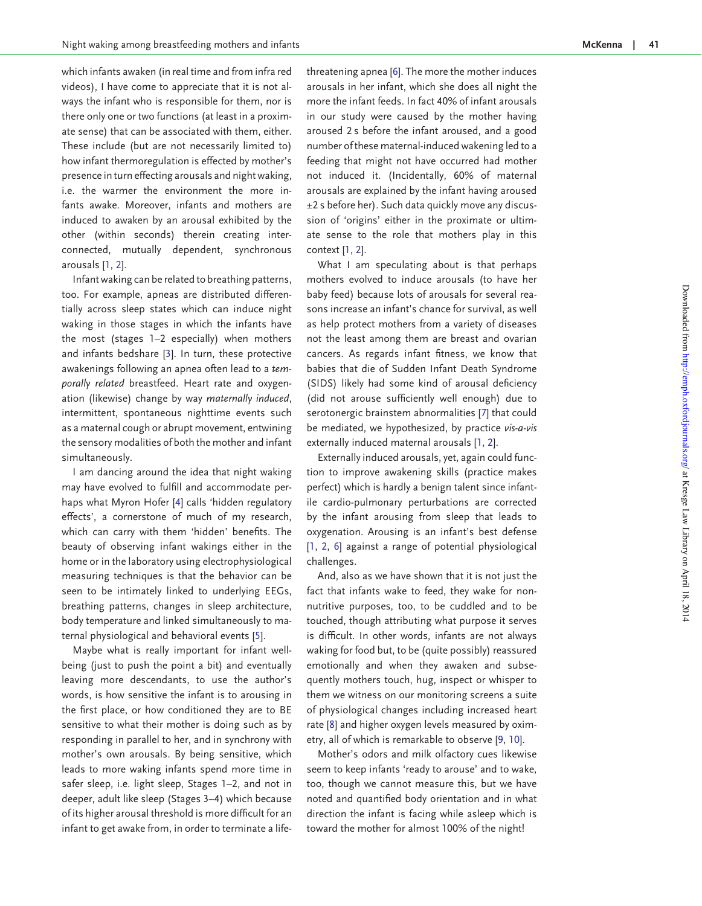which infants awaken (in real time and from infra red videos), I have come to appreciate that it is not always the infant who is responsible for them, nor is there only one or two functions (at least in a proximate sense) that can be associated with them, either. These include (but are not necessarily limited to) how infant thermoregulation is effected by mother's presence in turn effecting arousals and night waking, i.e. the warmer the environment the more infants awake. Moreover, infants and mothers are induced to awaken by an arousal exhibited by the other (within seconds) therein creating interconnected, mutually dependent, synchronous arousals [[1](#page-6-0), [2\]](#page-6-0).

Infant waking can be related to breathing patterns, too. For example, apneas are distributed differentially across sleep states which can induce night waking in those stages in which the infants have the most (stages 1–2 especially) when mothers and infants bedshare [[3](#page-6-0)]. In turn, these protective awakenings following an apnea often lead to a temporally related breastfeed. Heart rate and oxygenation (likewise) change by way maternally induced, intermittent, spontaneous nighttime events such as a maternal cough or abrupt movement, entwining the sensory modalities of both the mother and infant simultaneously.

I am dancing around the idea that night waking may have evolved to fulfill and accommodate perhaps what Myron Hofer [[4\]](#page-6-0) calls 'hidden regulatory effects', a cornerstone of much of my research, which can carry with them 'hidden' benefits. The beauty of observing infant wakings either in the home or in the laboratory using electrophysiological measuring techniques is that the behavior can be seen to be intimately linked to underlying EEGs, breathing patterns, changes in sleep architecture, body temperature and linked simultaneously to maternal physiological and behavioral events [[5](#page-6-0)].

Maybe what is really important for infant wellbeing (just to push the point a bit) and eventually leaving more descendants, to use the author's words, is how sensitive the infant is to arousing in the first place, or how conditioned they are to BE sensitive to what their mother is doing such as by responding in parallel to her, and in synchrony with mother's own arousals. By being sensitive, which leads to more waking infants spend more time in safer sleep, i.e. light sleep, Stages 1–2, and not in deeper, adult like sleep (Stages 3–4) which because of its higher arousal threshold is more difficult for an infant to get awake from, in order to terminate a lifethreatening apnea [[6](#page-6-0)]. The more the mother induces arousals in her infant, which she does all night the more the infant feeds. In fact 40% of infant arousals in our study were caused by the mother having aroused 2 s before the infant aroused, and a good number of these maternal-induced wakening led to a feeding that might not have occurred had mother not induced it. (Incidentally, 60% of maternal arousals are explained by the infant having aroused ±2 s before her). Such data quickly move any discussion of 'origins' either in the proximate or ultimate sense to the role that mothers play in this context [\[1,](#page-6-0) [2](#page-6-0)].

What I am speculating about is that perhaps mothers evolved to induce arousals (to have her baby feed) because lots of arousals for several reasons increase an infant's chance for survival, as well as help protect mothers from a variety of diseases not the least among them are breast and ovarian cancers. As regards infant fitness, we know that babies that die of Sudden Infant Death Syndrome (SIDS) likely had some kind of arousal deficiency (did not arouse sufficiently well enough) due to serotonergic brainstem abnormalities [[7](#page-6-0)] that could be mediated, we hypothesized, by practice vis-a-vis externally induced maternal arousals [\[1,](#page-6-0) [2](#page-6-0)].

Externally induced arousals, yet, again could function to improve awakening skills (practice makes perfect) which is hardly a benign talent since infantile cardio-pulmonary perturbations are corrected by the infant arousing from sleep that leads to oxygenation. Arousing is an infant's best defense [\[1,](#page-6-0) [2](#page-6-0), [6](#page-6-0)] against a range of potential physiological challenges.

And, also as we have shown that it is not just the fact that infants wake to feed, they wake for nonnutritive purposes, too, to be cuddled and to be touched, though attributing what purpose it serves is difficult. In other words, infants are not always waking for food but, to be (quite possibly) reassured emotionally and when they awaken and subsequently mothers touch, hug, inspect or whisper to them we witness on our monitoring screens a suite of physiological changes including increased heart rate [\[8](#page-6-0)] and higher oxygen levels measured by oximetry, all of which is remarkable to observe [[9](#page-6-0), [10](#page-6-0)].

Mother's odors and milk olfactory cues likewise seem to keep infants 'ready to arouse' and to wake, too, though we cannot measure this, but we have noted and quantified body orientation and in what direction the infant is facing while asleep which is toward the mother for almost 100% of the night!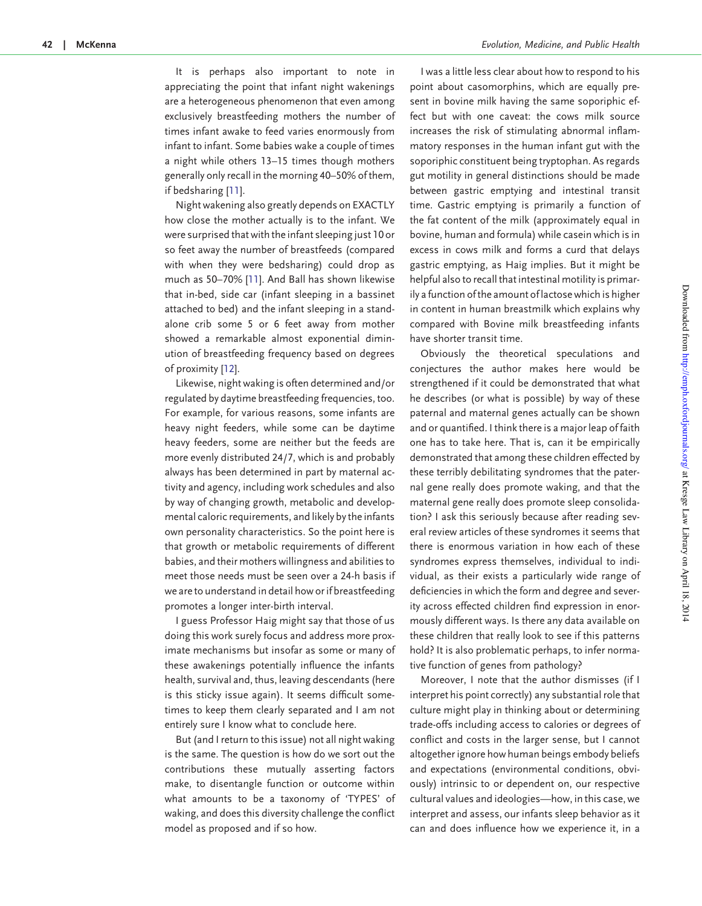It is perhaps also important to note in appreciating the point that infant night wakenings are a heterogeneous phenomenon that even among exclusively breastfeeding mothers the number of times infant awake to feed varies enormously from infant to infant. Some babies wake a couple of times a night while others 13–15 times though mothers generally only recall in the morning 40–50% of them, if bedsharing [[11](#page-6-0)].

Night wakening also greatly depends on EXACTLY how close the mother actually is to the infant. We were surprised that with the infant sleeping just 10 or so feet away the number of breastfeeds (compared with when they were bedsharing) could drop as much as 50–70% [[11](#page-6-0)]. And Ball has shown likewise that in-bed, side car (infant sleeping in a bassinet attached to bed) and the infant sleeping in a standalone crib some 5 or 6 feet away from mother showed a remarkable almost exponential diminution of breastfeeding frequency based on degrees of proximity [\[12\]](#page-6-0).

Likewise, night waking is often determined and/or regulated by daytime breastfeeding frequencies, too. For example, for various reasons, some infants are heavy night feeders, while some can be daytime heavy feeders, some are neither but the feeds are more evenly distributed 24/7, which is and probably always has been determined in part by maternal activity and agency, including work schedules and also by way of changing growth, metabolic and developmental caloric requirements, and likely by the infants own personality characteristics. So the point here is that growth or metabolic requirements of different babies, and their mothers willingness and abilities to meet those needs must be seen over a 24-h basis if we are to understand in detail how or if breastfeeding promotes a longer inter-birth interval.

I guess Professor Haig might say that those of us doing this work surely focus and address more proximate mechanisms but insofar as some or many of these awakenings potentially influence the infants health, survival and, thus, leaving descendants (here is this sticky issue again). It seems difficult sometimes to keep them clearly separated and I am not entirely sure I know what to conclude here.

But (and I return to this issue) not all night waking is the same. The question is how do we sort out the contributions these mutually asserting factors make, to disentangle function or outcome within what amounts to be a taxonomy of 'TYPES' of waking, and does this diversity challenge the conflict model as proposed and if so how.

I was a little less clear about how to respond to his point about casomorphins, which are equally present in bovine milk having the same soporiphic effect but with one caveat: the cows milk source increases the risk of stimulating abnormal inflammatory responses in the human infant gut with the soporiphic constituent being tryptophan. As regards gut motility in general distinctions should be made between gastric emptying and intestinal transit time. Gastric emptying is primarily a function of the fat content of the milk (approximately equal in bovine, human and formula) while casein which is in excess in cows milk and forms a curd that delays gastric emptying, as Haig implies. But it might be helpful also to recall that intestinal motility is primarily a function of the amount of lactose which is higher in content in human breastmilk which explains why compared with Bovine milk breastfeeding infants have shorter transit time.

Obviously the theoretical speculations and conjectures the author makes here would be strengthened if it could be demonstrated that what he describes (or what is possible) by way of these paternal and maternal genes actually can be shown and or quantified. I think there is a major leap of faith one has to take here. That is, can it be empirically demonstrated that among these children effected by these terribly debilitating syndromes that the paternal gene really does promote waking, and that the maternal gene really does promote sleep consolidation? I ask this seriously because after reading several review articles of these syndromes it seems that there is enormous variation in how each of these syndromes express themselves, individual to individual, as their exists a particularly wide range of deficiencies in which the form and degree and severity across effected children find expression in enormously different ways. Is there any data available on these children that really look to see if this patterns hold? It is also problematic perhaps, to infer normative function of genes from pathology?

Moreover, I note that the author dismisses (if I interpret his point correctly) any substantial role that culture might play in thinking about or determining trade-offs including access to calories or degrees of conflict and costs in the larger sense, but I cannot altogether ignore how human beings embody beliefs and expectations (environmental conditions, obviously) intrinsic to or dependent on, our respective cultural values and ideologies—how, in this case, we interpret and assess, our infants sleep behavior as it can and does influence how we experience it, in a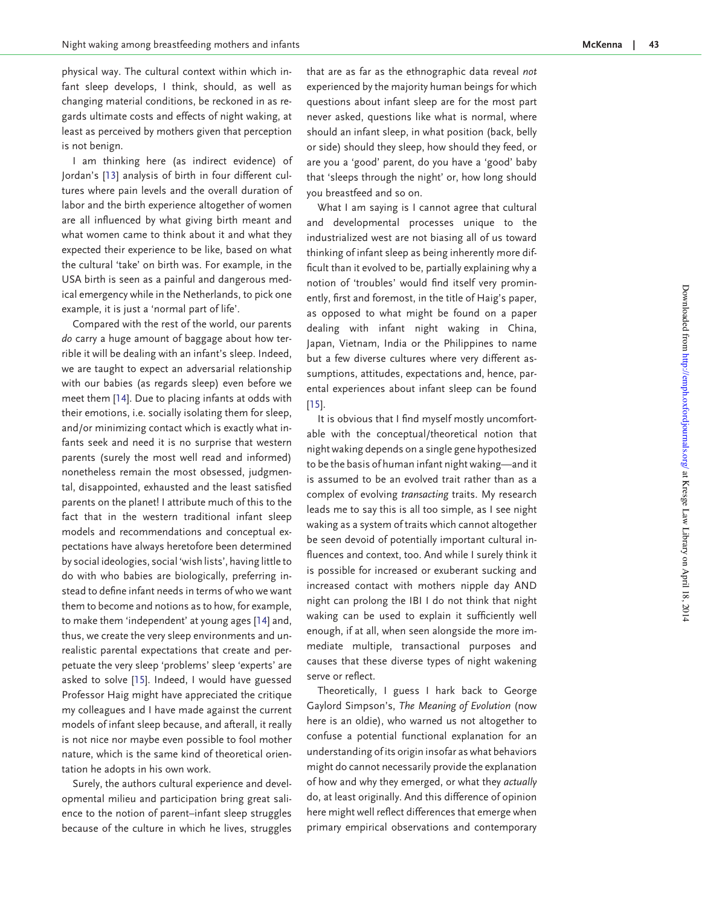physical way. The cultural context within which infant sleep develops, I think, should, as well as changing material conditions, be reckoned in as regards ultimate costs and effects of night waking, at least as perceived by mothers given that perception is not benign.

I am thinking here (as indirect evidence) of Jordan's [[13](#page-6-0)] analysis of birth in four different cultures where pain levels and the overall duration of labor and the birth experience altogether of women are all influenced by what giving birth meant and what women came to think about it and what they expected their experience to be like, based on what the cultural 'take' on birth was. For example, in the USA birth is seen as a painful and dangerous medical emergency while in the Netherlands, to pick one example, it is just a 'normal part of life'.

Compared with the rest of the world, our parents do carry a huge amount of baggage about how terrible it will be dealing with an infant's sleep. Indeed, we are taught to expect an adversarial relationship with our babies (as regards sleep) even before we meet them [\[14](#page-6-0)]. Due to placing infants at odds with their emotions, i.e. socially isolating them for sleep, and/or minimizing contact which is exactly what infants seek and need it is no surprise that western parents (surely the most well read and informed) nonetheless remain the most obsessed, judgmental, disappointed, exhausted and the least satisfied parents on the planet! I attribute much of this to the fact that in the western traditional infant sleep models and recommendations and conceptual expectations have always heretofore been determined by social ideologies, social 'wish lists', having little to do with who babies are biologically, preferring instead to define infant needs in terms of who we want them to become and notions as to how, for example, to make them 'independent' at young ages [[14](#page-6-0)] and, thus, we create the very sleep environments and unrealistic parental expectations that create and perpetuate the very sleep 'problems' sleep 'experts' are asked to solve [\[15](#page-6-0)]. Indeed, I would have guessed Professor Haig might have appreciated the critique my colleagues and I have made against the current models of infant sleep because, and afterall, it really is not nice nor maybe even possible to fool mother nature, which is the same kind of theoretical orientation he adopts in his own work.

Surely, the authors cultural experience and developmental milieu and participation bring great salience to the notion of parent–infant sleep struggles because of the culture in which he lives, struggles that are as far as the ethnographic data reveal not experienced by the majority human beings for which questions about infant sleep are for the most part never asked, questions like what is normal, where should an infant sleep, in what position (back, belly or side) should they sleep, how should they feed, or are you a 'good' parent, do you have a 'good' baby that 'sleeps through the night' or, how long should you breastfeed and so on.

What I am saying is I cannot agree that cultural and developmental processes unique to the industrialized west are not biasing all of us toward thinking of infant sleep as being inherently more difficult than it evolved to be, partially explaining why a notion of 'troubles' would find itself very prominently, first and foremost, in the title of Haig's paper, as opposed to what might be found on a paper dealing with infant night waking in China, Japan, Vietnam, India or the Philippines to name but a few diverse cultures where very different assumptions, attitudes, expectations and, hence, parental experiences about infant sleep can be found [\[15\]](#page-6-0).

It is obvious that I find myself mostly uncomfortable with the conceptual/theoretical notion that night waking depends on a single gene hypothesized to be the basis of human infant night waking—and it is assumed to be an evolved trait rather than as a complex of evolving transacting traits. My research leads me to say this is all too simple, as I see night waking as a system of traits which cannot altogether be seen devoid of potentially important cultural influences and context, too. And while I surely think it is possible for increased or exuberant sucking and increased contact with mothers nipple day AND night can prolong the IBI I do not think that night waking can be used to explain it sufficiently well enough, if at all, when seen alongside the more immediate multiple, transactional purposes and causes that these diverse types of night wakening serve or reflect.

Theoretically, I guess I hark back to George Gaylord Simpson's, The Meaning of Evolution (now here is an oldie), who warned us not altogether to confuse a potential functional explanation for an understanding of its origin insofar as what behaviors might do cannot necessarily provide the explanation of how and why they emerged, or what they actually do, at least originally. And this difference of opinion here might well reflect differences that emerge when primary empirical observations and contemporary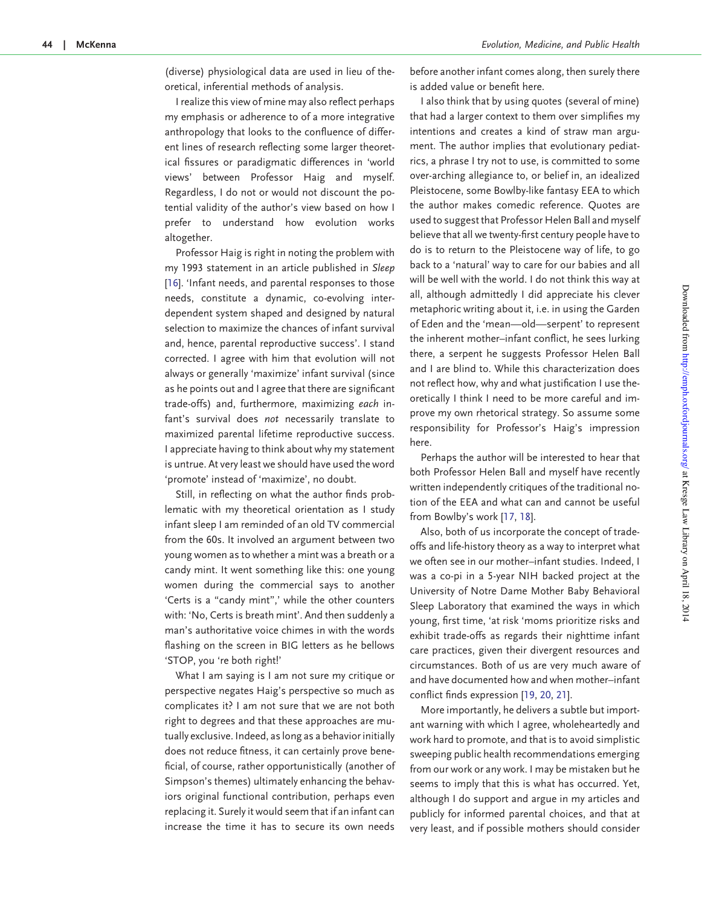(diverse) physiological data are used in lieu of theoretical, inferential methods of analysis.

I realize this view of mine may also reflect perhaps my emphasis or adherence to of a more integrative anthropology that looks to the confluence of different lines of research reflecting some larger theoretical fissures or paradigmatic differences in 'world views' between Professor Haig and myself. Regardless, I do not or would not discount the potential validity of the author's view based on how I prefer to understand how evolution works altogether.

Professor Haig is right in noting the problem with my 1993 statement in an article published in Sleep [\[16\]](#page-6-0). 'Infant needs, and parental responses to those needs, constitute a dynamic, co-evolving interdependent system shaped and designed by natural selection to maximize the chances of infant survival and, hence, parental reproductive success'. I stand corrected. I agree with him that evolution will not always or generally 'maximize' infant survival (since as he points out and I agree that there are significant trade-offs) and, furthermore, maximizing each infant's survival does not necessarily translate to maximized parental lifetime reproductive success. I appreciate having to think about why my statement is untrue. At very least we should have used the word 'promote' instead of 'maximize', no doubt.

Still, in reflecting on what the author finds problematic with my theoretical orientation as I study infant sleep I am reminded of an old TV commercial from the 60s. It involved an argument between two young women as to whether a mint was a breath or a candy mint. It went something like this: one young women during the commercial says to another 'Certs is a "candy mint",' while the other counters with: 'No, Certs is breath mint'. And then suddenly a man's authoritative voice chimes in with the words flashing on the screen in BIG letters as he bellows 'STOP, you 're both right!'

What I am saying is I am not sure my critique or perspective negates Haig's perspective so much as complicates it? I am not sure that we are not both right to degrees and that these approaches are mutually exclusive. Indeed, as long as a behavior initially does not reduce fitness, it can certainly prove beneficial, of course, rather opportunistically (another of Simpson's themes) ultimately enhancing the behaviors original functional contribution, perhaps even replacing it. Surely it would seem that if an infant can increase the time it has to secure its own needs

before another infant comes along, then surely there is added value or benefit here.

I also think that by using quotes (several of mine) that had a larger context to them over simplifies my intentions and creates a kind of straw man argument. The author implies that evolutionary pediatrics, a phrase I try not to use, is committed to some over-arching allegiance to, or belief in, an idealized Pleistocene, some Bowlby-like fantasy EEA to which the author makes comedic reference. Quotes are used to suggest that Professor Helen Ball and myself believe that all we twenty-first century people have to do is to return to the Pleistocene way of life, to go back to a 'natural' way to care for our babies and all will be well with the world. I do not think this way at all, although admittedly I did appreciate his clever metaphoric writing about it, i.e. in using the Garden of Eden and the 'mean—old—serpent' to represent the inherent mother–infant conflict, he sees lurking there, a serpent he suggests Professor Helen Ball and I are blind to. While this characterization does not reflect how, why and what justification I use theoretically I think I need to be more careful and improve my own rhetorical strategy. So assume some responsibility for Professor's Haig's impression here.

Perhaps the author will be interested to hear that both Professor Helen Ball and myself have recently written independently critiques of the traditional notion of the EEA and what can and cannot be useful from Bowlby's work [\[17,](#page-6-0) [18](#page-6-0)].

Also, both of us incorporate the concept of tradeoffs and life-history theory as a way to interpret what we often see in our mother–infant studies. Indeed, I was a co-pi in a 5-year NIH backed project at the University of Notre Dame Mother Baby Behavioral Sleep Laboratory that examined the ways in which young, first time, 'at risk 'moms prioritize risks and exhibit trade-offs as regards their nighttime infant care practices, given their divergent resources and circumstances. Both of us are very much aware of and have documented how and when mother–infant conflict finds expression [\[19,](#page-6-0) [20,](#page-6-0) [21](#page-7-0)].

More importantly, he delivers a subtle but important warning with which I agree, wholeheartedly and work hard to promote, and that is to avoid simplistic sweeping public health recommendations emerging from our work or any work. I may be mistaken but he seems to imply that this is what has occurred. Yet, although I do support and argue in my articles and publicly for informed parental choices, and that at very least, and if possible mothers should consider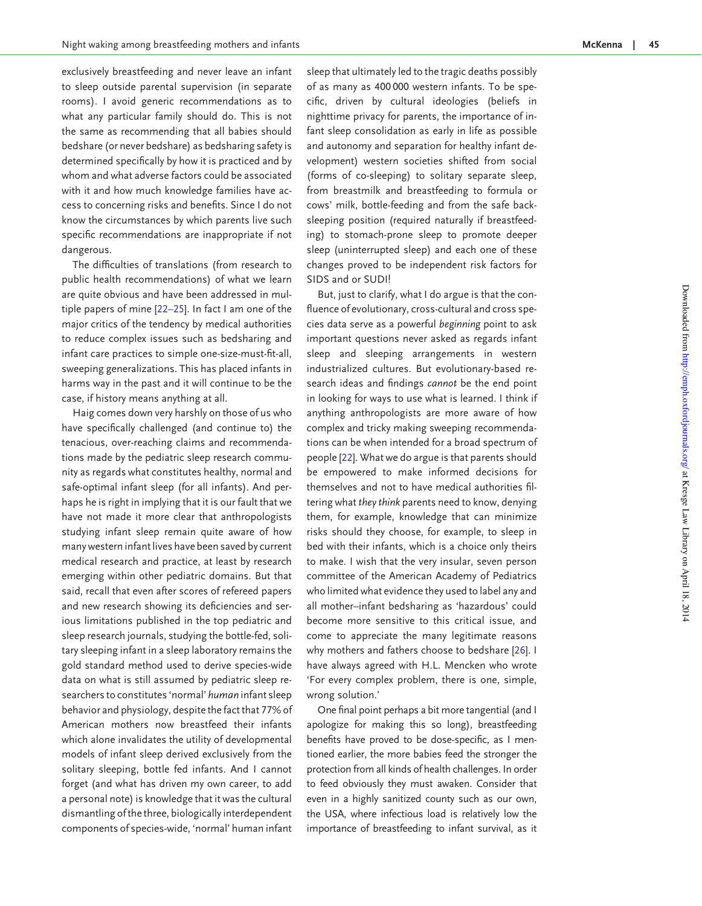exclusively breastfeeding and never leave an infant to sleep outside parental supervision (in separate rooms). I avoid generic recommendations as to what any particular family should do. This is not the same as recommending that all babies should bedshare (or never bedshare) as bedsharing safety is determined specifically by how it is practiced and by whom and what adverse factors could be associated with it and how much knowledge families have access to concerning risks and benefits. Since I do not know the circumstances by which parents live such specific recommendations are inappropriate if not dangerous.

The difficulties of translations (from research to public health recommendations) of what we learn are quite obvious and have been addressed in multiple papers of mine [\[22–25\]](#page-7-0). In fact I am one of the major critics of the tendency by medical authorities to reduce complex issues such as bedsharing and infant care practices to simple one-size-must-fit-all, sweeping generalizations. This has placed infants in harms way in the past and it will continue to be the case, if history means anything at all.

Haig comes down very harshly on those of us who have specifically challenged (and continue to) the tenacious, over-reaching claims and recommendations made by the pediatric sleep research community as regards what constitutes healthy, normal and safe-optimal infant sleep (for all infants). And perhaps he is right in implying that it is our fault that we have not made it more clear that anthropologists studying infant sleep remain quite aware of how many western infant lives have been saved by current medical research and practice, at least by research emerging within other pediatric domains. But that said, recall that even after scores of refereed papers and new research showing its deficiencies and serious limitations published in the top pediatric and sleep research journals, studying the bottle-fed, solitary sleeping infant in a sleep laboratory remains the gold standard method used to derive species-wide data on what is still assumed by pediatric sleep researchers to constitutes 'normal' human infant sleep behavior and physiology, despite the fact that 77% of American mothers now breastfeed their infants which alone invalidates the utility of developmental models of infant sleep derived exclusively from the solitary sleeping, bottle fed infants. And I cannot forget (and what has driven my own career, to add a personal note) is knowledge that it was the cultural dismantling of the three, biologically interdependent components of species-wide, 'normal' human infant

sleep that ultimately led to the tragic deaths possibly of as many as 400 000 western infants. To be specific, driven by cultural ideologies (beliefs in nighttime privacy for parents, the importance of infant sleep consolidation as early in life as possible and autonomy and separation for healthy infant development) western societies shifted from social (forms of co-sleeping) to solitary separate sleep, from breastmilk and breastfeeding to formula or cows' milk, bottle-feeding and from the safe backsleeping position (required naturally if breastfeeding) to stomach-prone sleep to promote deeper sleep (uninterrupted sleep) and each one of these changes proved to be independent risk factors for SIDS and or SUDI!

But, just to clarify, what I do argue is that the confluence of evolutionary, cross-cultural and cross species data serve as a powerful beginning point to ask important questions never asked as regards infant sleep and sleeping arrangements in western industrialized cultures. But evolutionary-based research ideas and findings cannot be the end point in looking for ways to use what is learned. I think if anything anthropologists are more aware of how complex and tricky making sweeping recommendations can be when intended for a broad spectrum of people [\[22\]](#page-7-0). What we do argue is that parents should be empowered to make informed decisions for themselves and not to have medical authorities filtering what they think parents need to know, denying them, for example, knowledge that can minimize risks should they choose, for example, to sleep in bed with their infants, which is a choice only theirs to make. I wish that the very insular, seven person committee of the American Academy of Pediatrics who limited what evidence they used to label any and all mother–infant bedsharing as 'hazardous' could become more sensitive to this critical issue, and come to appreciate the many legitimate reasons why mothers and fathers choose to bedshare [\[26\]](#page-7-0). I have always agreed with H.L. Mencken who wrote 'For every complex problem, there is one, simple, wrong solution.'

One final point perhaps a bit more tangential (and I apologize for making this so long), breastfeeding benefits have proved to be dose-specific, as I mentioned earlier, the more babies feed the stronger the protection from all kinds of health challenges. In order to feed obviously they must awaken. Consider that even in a highly sanitized county such as our own, the USA, where infectious load is relatively low the importance of breastfeeding to infant survival, as it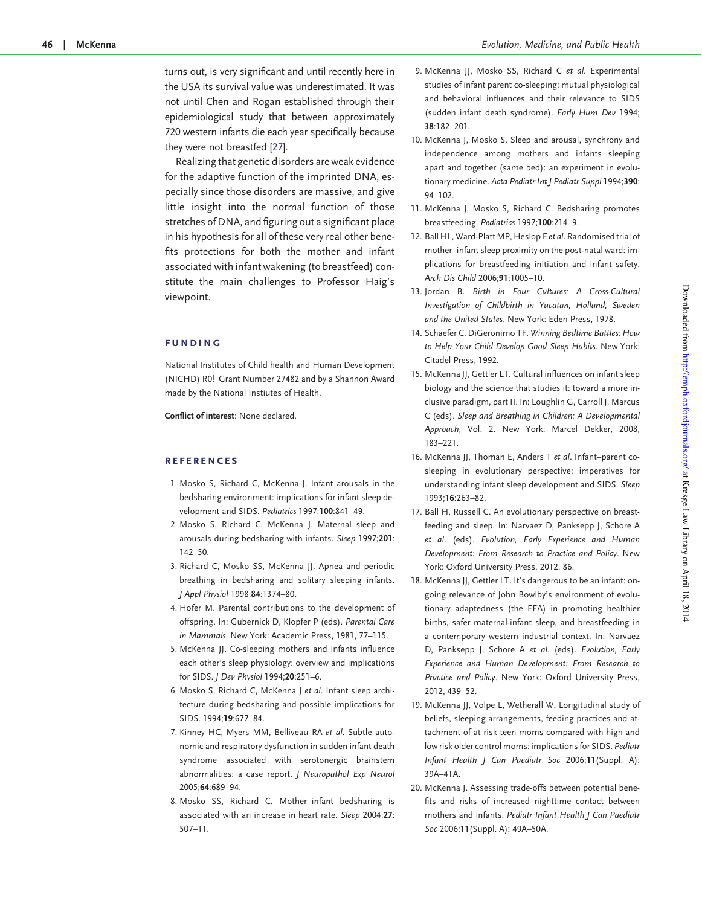<span id="page-6-0"></span>turns out, is very significant and until recently here in the USA its survival value was underestimated. It was not until Chen and Rogan established through their epidemiological study that between approximately 720 western infants die each year specifically because they were not breastfed [[27\]](#page-7-0).

Realizing that genetic disorders are weak evidence for the adaptive function of the imprinted DNA, especially since those disorders are massive, and give little insight into the normal function of those stretches of DNA, and figuring out a significant place in his hypothesis for all of these very real other benefits protections for both the mother and infant associated with infant wakening (to breastfeed) constitute the main challenges to Professor Haig's viewpoint.

## funding

National Institutes of Child health and Human Development (NICHD) R0! Grant Number 27482 and by a Shannon Award made by the National Instiutes of Health.

Conflict of interest: None declared.

## **REFERENCES**

- 1. Mosko S, Richard C, McKenna J. Infant arousals in the bedsharing environment: implications for infant sleep development and SIDS. Pediatrics 1997;100:841–49.
- 2. Mosko S, Richard C, McKenna J. Maternal sleep and arousals during bedsharing with infants. Sleep 1997;201: 142–50.
- 3. Richard C, Mosko SS, McKenna JJ. Apnea and periodic breathing in bedsharing and solitary sleeping infants. J Appl Physiol 1998;84:1374–80.
- 4. Hofer M. Parental contributions to the development of offspring. In: Gubernick D, Klopfer P (eds). Parental Care in Mammals. New York: Academic Press, 1981, 77–115.
- 5. McKenna JJ. Co-sleeping mothers and infants influence each other's sleep physiology: overview and implications for SIDS. J Dev Physiol 1994;20:251–6.
- 6. Mosko S, Richard C, McKenna J et al. Infant sleep architecture during bedsharing and possible implications for SIDS. 1994;19:677–84.
- 7. Kinney HC, Myers MM, Belliveau RA et al. Subtle autonomic and respiratory dysfunction in sudden infant death syndrome associated with serotonergic brainstem abnormalities: a case report. J Neuropathol Exp Neurol 2005;64:689–94.
- 8. Mosko SS, Richard C. Mother–infant bedsharing is associated with an increase in heart rate. Sleep 2004;27: 507–11.
- 9. McKenna II, Mosko SS, Richard C et al. Experimental studies of infant parent co-sleeping: mutual physiological and behavioral influences and their relevance to SIDS (sudden infant death syndrome). Early Hum Dev 1994; 38:182–201.
- 10. McKenna J, Mosko S. Sleep and arousal, synchrony and independence among mothers and infants sleeping apart and together (same bed): an experiment in evolutionary medicine. Acta Pediatr Int J Pediatr Suppl 1994;390: 94–102.
- 11. McKenna J, Mosko S, Richard C. Bedsharing promotes breastfeeding. Pediatrics 1997;100:214–9.
- 12. Ball HL, Ward-Platt MP, Heslop E et al. Randomised trial of mother–infant sleep proximity on the post-natal ward: implications for breastfeeding initiation and infant safety. Arch Dis Child 2006;91:1005–10.
- 13. Jordan B. Birth in Four Cultures: A Cross-Cultural Investigation of Childbirth in Yucatan, Holland, Sweden and the United States. New York: Eden Press, 1978.
- 14. Schaefer C, DiGeronimo TF. Winning Bedtime Battles: How to Help Your Child Develop Good Sleep Habits. New York: Citadel Press, 1992.
- 15. McKenna JJ, Gettler LT. Cultural influences on infant sleep biology and the science that studies it: toward a more inclusive paradigm, part II. In: Loughlin G, Carroll J, Marcus C (eds). Sleep and Breathing in Children: A Developmental Approach, Vol. 2. New York: Marcel Dekker, 2008, 183–221.
- 16. McKenna JJ, Thoman E, Anders T et al. Infant-parent cosleeping in evolutionary perspective: imperatives for understanding infant sleep development and SIDS. Sleep 1993;16:263–82.
- 17. Ball H, Russell C. An evolutionary perspective on breastfeeding and sleep. In: Narvaez D, Panksepp J, Schore A et al. (eds). Evolution, Early Experience and Human Development: From Research to Practice and Policy. New York: Oxford University Press, 2012, 86.
- 18. McKenna JJ, Gettler LT. It's dangerous to be an infant: ongoing relevance of John Bowlby's environment of evolutionary adaptedness (the EEA) in promoting healthier births, safer maternal-infant sleep, and breastfeeding in a contemporary western industrial context. In: Narvaez D, Panksepp J, Schore A et al. (eds). Evolution, Early Experience and Human Development: From Research to Practice and Policy. New York: Oxford University Press, 2012, 439–52.
- 19. McKenna JJ, Volpe L, Wetherall W. Longitudinal study of beliefs, sleeping arrangements, feeding practices and attachment of at risk teen moms compared with high and low risk older control moms: implications for SIDS. Pediatr Infant Health J Can Paediatr Soc 2006;11(Suppl. A): 39A–41A.
- 20. McKenna J. Assessing trade-offs between potential benefits and risks of increased nighttime contact between mothers and infants. Pediatr Infant Health J Can Paediatr Soc 2006;11(Suppl. A): 49A–50A.